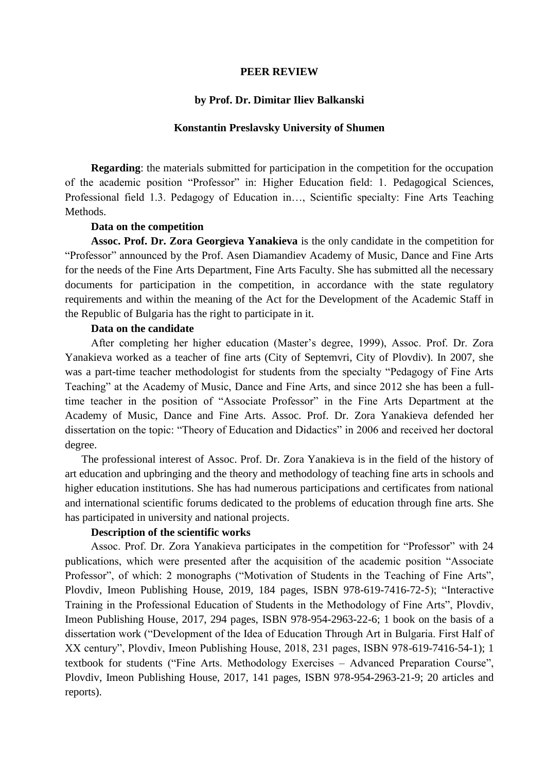#### **PEER REVIEW**

## **by Prof. Dr. Dimitar Iliev Balkanski**

## **Konstantin Preslavsky University of Shumen**

**Regarding**: the materials submitted for participation in the competition for the occupation of the academic position "Professor" in: Higher Education field: 1. Pedagogical Sciences, Professional field 1.3. Pedagogy of Education in…, Scientific specialty: Fine Arts Teaching Methods.

#### **Data on the competition**

**Assoc. Prof. Dr. Zora Georgieva Yanakieva** is the only candidate in the competition for "Professor" announced by the Prof. Asen Diamandiev Academy of Music, Dance and Fine Arts for the needs of the Fine Arts Department, Fine Arts Faculty. She has submitted all the necessary documents for participation in the competition, in accordance with the state regulatory requirements and within the meaning of the Act for the Development of the Academic Staff in the Republic of Bulgaria has the right to participate in it.

## **Data on the candidate**

After completing her higher education (Master's degree, 1999), Assoc. Prof. Dr. Zora Yanakieva worked as a teacher of fine arts (City of Septemvri, City of Plovdiv). In 2007, she was a part-time teacher methodologist for students from the specialty "Pedagogy of Fine Arts Teaching" at the Academy of Music, Dance and Fine Arts, and since 2012 she has been a fulltime teacher in the position of "Associate Professor" in the Fine Arts Department at the Academy of Music, Dance and Fine Arts. Assoc. Prof. Dr. Zora Yanakieva defended her dissertation on the topic: "Theory of Education and Didactics" in 2006 and received her doctoral degree.

 The professional interest of Assoc. Prof. Dr. Zora Yanakieva is in the field of the history of art education and upbringing and the theory and methodology of teaching fine arts in schools and higher education institutions. She has had numerous participations and certificates from national and international scientific forums dedicated to the problems of education through fine arts. She has participated in university and national projects.

# **Description of the scientific works**

Assoc. Prof. Dr. Zora Yanakieva participates in the competition for "Professor" with 24 publications, which were presented after the acquisition of the academic position "Associate Professor", of which: 2 monographs ("Motivation of Students in the Teaching of Fine Arts", Plovdiv, Imeon Publishing House, 2019, 184 pages, ISBN 978-619-7416-72-5); "Interactive Training in the Professional Education of Students in the Methodology of Fine Arts", Plovdiv, Imeon Publishing House, 2017, 294 pages, ISBN 978-954-2963-22-6; 1 book on the basis of a dissertation work ("Development of the Idea of Education Through Art in Bulgaria. First Half of XX century", Plovdiv, Imeon Publishing House, 2018, 231 pages, ISBN 978-619-7416-54-1); 1 textbook for students ("Fine Arts. Methodology Exercises – Advanced Preparation Course", Plovdiv, Imeon Publishing House, 2017, 141 pages, ISBN 978-954-2963-21-9; 20 articles and reports).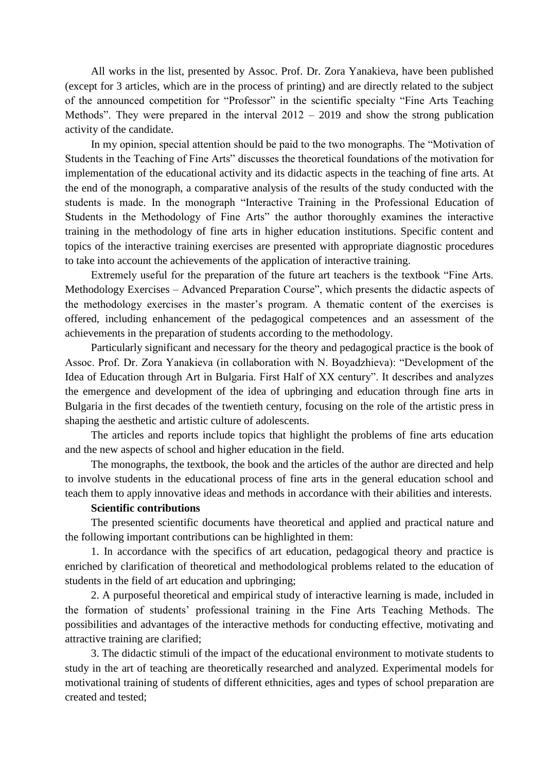All works in the list, presented by Assoc. Prof. Dr. Zora Yanakieva, have been published (except for 3 articles, which are in the process of printing) and are directly related to the subject of the announced competition for "Professor" in the scientific specialty "Fine Arts Teaching Methods". They were prepared in the interval 2012 – 2019 and show the strong publication activity of the candidate.

In my opinion, special attention should be paid to the two monographs. The "Motivation of Students in the Teaching of Fine Arts" discusses the theoretical foundations of the motivation for implementation of the educational activity and its didactic aspects in the teaching of fine arts. At the end of the monograph, a comparative analysis of the results of the study conducted with the students is made. In the monograph "Interactive Training in the Professional Education of Students in the Methodology of Fine Arts" the author thoroughly examines the interactive training in the methodology of fine arts in higher education institutions. Specific content and topics of the interactive training exercises are presented with appropriate diagnostic procedures to take into account the achievements of the application of interactive training.

Extremely useful for the preparation of the future art teachers is the textbook "Fine Arts. Methodology Exercises – Advanced Preparation Course", which presents the didactic aspects of the methodology exercises in the master's program. A thematic content of the exercises is offered, including enhancement of the pedagogical competences and an assessment of the achievements in the preparation of students according to the methodology.

Particularly significant and necessary for the theory and pedagogical practice is the book of Assoc. Prof. Dr. Zora Yanakieva (in collaboration with N. Boyadzhieva): "Development of the Idea of Education through Art in Bulgaria. First Half of XX century". It describes and analyzes the emergence and development of the idea of upbringing and education through fine arts in Bulgaria in the first decades of the twentieth century, focusing on the role of the artistic press in shaping the aesthetic and artistic culture of adolescents.

The articles and reports include topics that highlight the problems of fine arts education and the new aspects of school and higher education in the field.

The monographs, the textbook, the book and the articles of the author are directed and help to involve students in the educational process of fine arts in the general education school and teach them to apply innovative ideas and methods in accordance with their abilities and interests.

## **Scientific contributions**

The presented scientific documents have theoretical and applied and practical nature and the following important contributions can be highlighted in them:

1. In accordance with the specifics of art education, pedagogical theory and practice is enriched by clarification of theoretical and methodological problems related to the education of students in the field of art education and upbringing;

2. A purposeful theoretical and empirical study of interactive learning is made, included in the formation of students' professional training in the Fine Arts Teaching Methods. The possibilities and advantages of the interactive methods for conducting effective, motivating and attractive training are clarified;

3. The didactic stimuli of the impact of the educational environment to motivate students to study in the art of teaching are theoretically researched and analyzed. Experimental models for motivational training of students of different ethnicities, ages and types of school preparation are created and tested;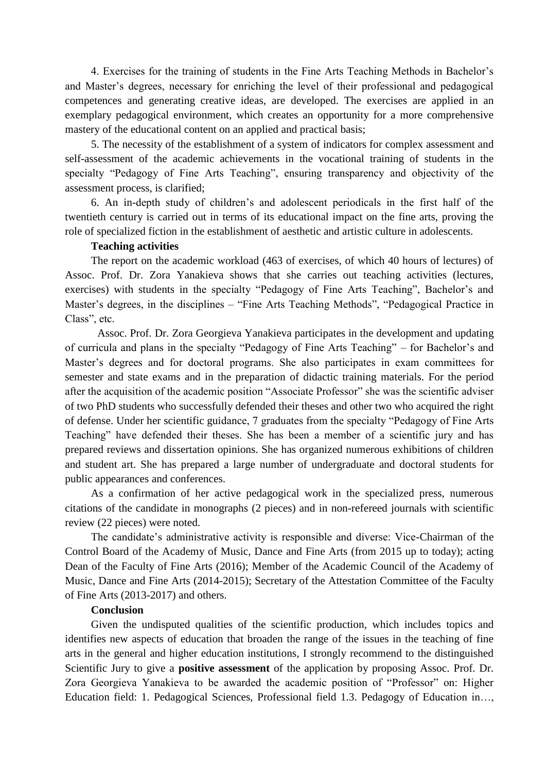4. Exercises for the training of students in the Fine Arts Teaching Methods in Bachelor's and Master's degrees, necessary for enriching the level of their professional and pedagogical competences and generating creative ideas, are developed. The exercises are applied in an exemplary pedagogical environment, which creates an opportunity for a more comprehensive mastery of the educational content on an applied and practical basis;

5. The necessity of the establishment of a system of indicators for complex assessment and self-assessment of the academic achievements in the vocational training of students in the specialty "Pedagogy of Fine Arts Teaching", ensuring transparency and objectivity of the assessment process, is clarified;

6. An in-depth study of children's and adolescent periodicals in the first half of the twentieth century is carried out in terms of its educational impact on the fine arts, proving the role of specialized fiction in the establishment of aesthetic and artistic culture in adolescents.

## **Teaching activities**

The report on the academic workload (463 of exercises, of which 40 hours of lectures) of Assoc. Prof. Dr. Zora Yanakieva shows that she carries out teaching activities (lectures, exercises) with students in the specialty "Pedagogy of Fine Arts Teaching", Bachelor's and Master's degrees, in the disciplines – "Fine Arts Teaching Methods", "Pedagogical Practice in Class", etc.

Assoc. Prof. Dr. Zora Georgieva Yanakieva participates in the development and updating of curricula and plans in the specialty "Pedagogy of Fine Arts Teaching" – for Bachelor's and Master's degrees and for doctoral programs. She also participates in exam committees for semester and state exams and in the preparation of didactic training materials. For the period after the acquisition of the academic position "Associate Professor" she was the scientific adviser of two PhD students who successfully defended their theses and other two who acquired the right of defense. Under her scientific guidance, 7 graduates from the specialty "Pedagogy of Fine Arts Teaching" have defended their theses. She has been a member of a scientific jury and has prepared reviews and dissertation opinions. She has organized numerous exhibitions of children and student art. She has prepared a large number of undergraduate and doctoral students for public appearances and conferences.

As a confirmation of her active pedagogical work in the specialized press, numerous citations of the candidate in monographs (2 pieces) and in non-refereed journals with scientific review (22 pieces) were noted.

The candidate's administrative activity is responsible and diverse: Vice-Chairman of the Control Board of the Academy of Music, Dance and Fine Arts (from 2015 up to today); acting Dean of the Faculty of Fine Arts (2016); Member of the Academic Council of the Academy of Music, Dance and Fine Arts (2014-2015); Secretary of the Attestation Committee of the Faculty of Fine Arts (2013-2017) and others.

## **Conclusion**

Given the undisputed qualities of the scientific production, which includes topics and identifies new aspects of education that broaden the range of the issues in the teaching of fine arts in the general and higher education institutions, I strongly recommend to the distinguished Scientific Jury to give a **positive assessment** of the application by proposing Assoc. Prof. Dr. Zora Georgieva Yanakieva to be awarded the academic position of "Professor" on: Higher Education field: 1. Pedagogical Sciences, Professional field 1.3. Pedagogy of Education in…,